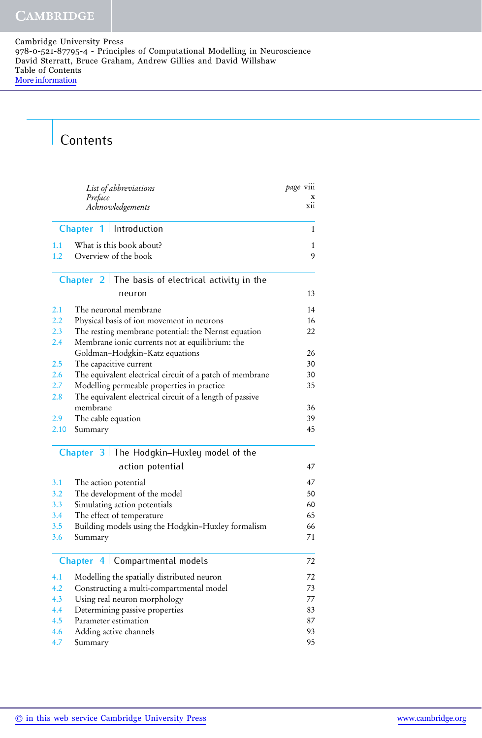## **Contents**

|                          | List of abbreviations<br>Preface<br>Acknowledgements     | page viii<br>xii |
|--------------------------|----------------------------------------------------------|------------------|
| Chapter 1   Introduction |                                                          | 1                |
| 1.1<br>1.2               | What is this book about?<br>Overview of the book         | 1<br>9           |
|                          | Chapter $2$ The basis of electrical activity in the      |                  |
|                          | neuron                                                   | 13               |
| 2.1                      | The neuronal membrane                                    | 14               |
| 2.2                      | Physical basis of ion movement in neurons                | 16               |
| 2.3                      | The resting membrane potential: the Nernst equation      | 22               |
| 2.4                      | Membrane ionic currents not at equilibrium: the          |                  |
|                          | Goldman-Hodgkin-Katz equations                           | 26               |
| 2.5                      | The capacitive current                                   | 30               |
| 2.6                      | The equivalent electrical circuit of a patch of membrane | 30               |
| 2.7                      | Modelling permeable properties in practice               | 35               |
| 2.8                      | The equivalent electrical circuit of a length of passive |                  |
|                          | membrane                                                 | 36               |
| 2.9                      | The cable equation                                       | 39               |
| 2.10                     | Summary                                                  | 45               |
|                          | Chapter $3$ The Hodgkin-Huxley model of the              |                  |
|                          | action potential                                         | 47               |
| 3.1                      | The action potential                                     | 47               |
| 3.2                      | The development of the model                             | 50               |
| 3.3                      | Simulating action potentials                             | 60               |
| 3.4                      | The effect of temperature                                | 65               |
| 3.5                      | Building models using the Hodgkin-Huxley formalism       | 66               |
| 3.6                      | Summary                                                  | 71               |
|                          | Compartmental models<br>Chapter $4$                      | 72               |
| 4.1                      | Modelling the spatially distributed neuron               | 72               |
| 4.2                      | Constructing a multi-compartmental model                 | 73               |
| 4.3                      | Using real neuron morphology                             | 77               |
| 4.4                      | Determining passive properties                           | 83               |
| 4.5                      | Parameter estimation                                     | 87               |
| 4.6                      | Adding active channels                                   | 93               |
| 4.7                      | Summary                                                  | 95               |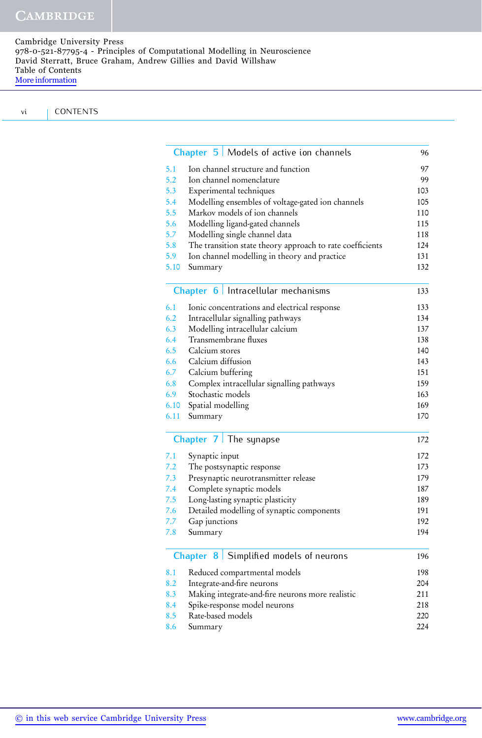Cambridge University Press 978-0-521-87795-4 - Principles of Computational Modelling in Neuroscience David Sterratt, Bruce Graham, Andrew Gillies and David Willshaw Table of Contents [More information](http://www.cambridge.org/9780521877954)

| <b>CONTENTS</b> |
|-----------------|

|      | Chapter 5   Models of active ion channels                 | 96  |
|------|-----------------------------------------------------------|-----|
| 5.1  | Ion channel structure and function                        | 97  |
| 5.2  | Ion channel nomenclature                                  | 99  |
| 5.3  | Experimental techniques                                   | 103 |
| 5.4  | Modelling ensembles of voltage-gated ion channels         | 105 |
| 5.5  | Markov models of ion channels                             | 110 |
| 5.6  | Modelling ligand-gated channels                           | 115 |
| 5.7  | Modelling single channel data                             | 118 |
| 5.8  | The transition state theory approach to rate coefficients | 124 |
| 5.9  | Ion channel modelling in theory and practice              | 131 |
| 5.10 | Summary                                                   | 132 |
|      | Chapter 6   Intracellular mechanisms                      | 133 |
|      | Ionic concentrations and electrical response              | 133 |
| 6.2  | Intracellular signalling pathways                         | 134 |
| 6.3  | Modelling intracellular calcium                           | 137 |
| 6.4  | Transmembrane fluxes                                      | 138 |
| 6.5  | Calcium stores                                            | 140 |
| 6.6  | Calcium diffusion                                         | 143 |
|      | Calcium buffering                                         | 151 |
|      | Complex intracellular signalling pathways                 | 159 |
|      | Stochastic models                                         | 163 |
| 6.10 | Spatial modelling                                         | 169 |
| 6.11 | Summary                                                   | 170 |
|      | Chapter $7 \mid$ The synapse                              | 172 |
| 7.1  | Synaptic input                                            | 172 |
|      | The postsynaptic response                                 | 173 |
|      | Presynaptic neurotransmitter release                      | 179 |
|      | Complete synaptic models                                  | 187 |
| 7.5  | Long-lasting synaptic plasticity                          | 189 |
|      | Detailed modelling of synaptic components                 | 191 |
| 7.7  | Gap junctions                                             | 192 |
| 7.8  | Summary                                                   | 194 |
|      | Chapter 8   Simplified models of neurons                  | 196 |
| 8.1  | Reduced compartmental models                              | 198 |
| 8.2  | Integrate-and-fire neurons                                | 204 |
| 8.3  | Making integrate-and-fire neurons more realistic          | 211 |
| 8.4  | Spike-response model neurons                              | 218 |
| 8.5  | Rate-based models                                         | 220 |
| 8.6  | Summary                                                   | 224 |